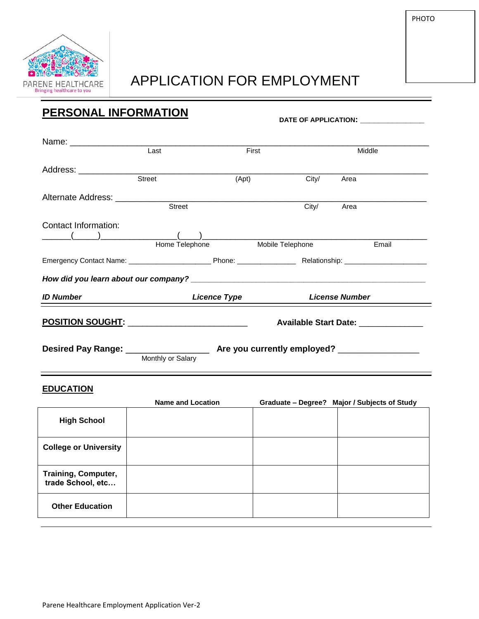

## APPLICATION FOR EMPLOYMENT

PHOTO

## **PERSONAL INFORMATION**

**DATE OF APPLICATION: \_\_\_\_\_\_\_\_\_\_\_\_\_\_**

|                                                                                                                | Last              | First               |                                 | Middle                               |  |
|----------------------------------------------------------------------------------------------------------------|-------------------|---------------------|---------------------------------|--------------------------------------|--|
| Address: ___________________________                                                                           | Street            | (Apt)               | City/                           | Area                                 |  |
| Alternate Address: Alternative Address and Alternative Address and Alternative Address and Alternative Address | <b>Street</b>     |                     | City/                           | Area                                 |  |
| Contact Information:                                                                                           |                   |                     | Home Telephone Mobile Telephone | Email                                |  |
|                                                                                                                |                   |                     |                                 |                                      |  |
|                                                                                                                |                   |                     |                                 |                                      |  |
| <b>ID Number</b>                                                                                               |                   | <b>Licence Type</b> |                                 | <b>License Number</b>                |  |
| <u>POSITION SOUGHT: ____________________________</u>                                                           |                   |                     |                                 | Available Start Date: ______________ |  |
| Desired Pay Range: __________________                                                                          | Monthly or Salary |                     |                                 |                                      |  |

## **EDUCATION**

|                                                 | <b>Name and Location</b> | Graduate - Degree? Major / Subjects of Study |
|-------------------------------------------------|--------------------------|----------------------------------------------|
| <b>High School</b>                              |                          |                                              |
| <b>College or University</b>                    |                          |                                              |
| <b>Training, Computer,</b><br>trade School, etc |                          |                                              |
| <b>Other Education</b>                          |                          |                                              |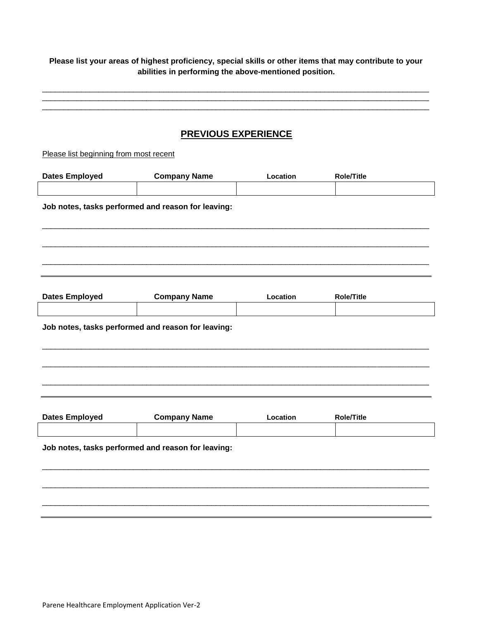**Please list your areas of highest proficiency, special skills or other items that may contribute to your abilities in performing the above-mentioned position.**

\_\_\_\_\_\_\_\_\_\_\_\_\_\_\_\_\_\_\_\_\_\_\_\_\_\_\_\_\_\_\_\_\_\_\_\_\_\_\_\_\_\_\_\_\_\_\_\_\_\_\_\_\_\_\_\_\_\_\_\_\_\_\_\_\_\_\_\_\_\_\_\_\_\_\_\_\_\_\_\_\_\_\_\_\_\_\_\_\_ \_\_\_\_\_\_\_\_\_\_\_\_\_\_\_\_\_\_\_\_\_\_\_\_\_\_\_\_\_\_\_\_\_\_\_\_\_\_\_\_\_\_\_\_\_\_\_\_\_\_\_\_\_\_\_\_\_\_\_\_\_\_\_\_\_\_\_\_\_\_\_\_\_\_\_\_\_\_\_\_\_\_\_\_\_\_\_\_\_ \_\_\_\_\_\_\_\_\_\_\_\_\_\_\_\_\_\_\_\_\_\_\_\_\_\_\_\_\_\_\_\_\_\_\_\_\_\_\_\_\_\_\_\_\_\_\_\_\_\_\_\_\_\_\_\_\_\_\_\_\_\_\_\_\_\_\_\_\_\_\_\_\_\_\_\_\_\_\_\_\_\_\_\_\_\_\_\_\_

## **PREVIOUS EXPERIENCE**

Please list beginning from most recent

| <b>Dates Employed</b>                              | <b>Company Name</b> | Location | <b>Role/Title</b> |  |  |
|----------------------------------------------------|---------------------|----------|-------------------|--|--|
|                                                    |                     |          |                   |  |  |
| Job notes, tasks performed and reason for leaving: |                     |          |                   |  |  |
|                                                    |                     |          |                   |  |  |
|                                                    |                     |          |                   |  |  |
| <b>Dates Employed</b>                              | <b>Company Name</b> | Location | <b>Role/Title</b> |  |  |
|                                                    |                     |          |                   |  |  |
| Job notes, tasks performed and reason for leaving: |                     |          |                   |  |  |
|                                                    |                     |          |                   |  |  |
|                                                    |                     |          |                   |  |  |
|                                                    |                     |          |                   |  |  |
| <b>Dates Employed</b>                              | <b>Company Name</b> | Location | <b>Role/Title</b> |  |  |
| Job notes, tasks performed and reason for leaving: |                     |          |                   |  |  |
|                                                    |                     |          |                   |  |  |
|                                                    |                     |          |                   |  |  |
|                                                    |                     |          |                   |  |  |